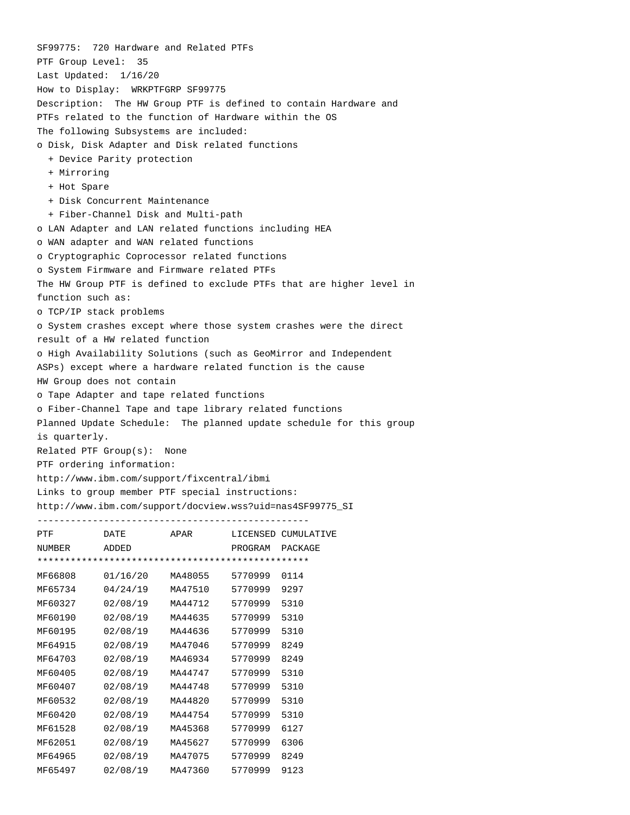SF99775: 720 Hardware and Related PTFs PTF Group Level: 35 Last Updated: 1/16/20 How to Display: WRKPTFGRP SF99775 Description: The HW Group PTF is defined to contain Hardware and PTFs related to the function of Hardware within the OS The following Subsystems are included: o Disk, Disk Adapter and Disk related functions + Device Parity protection + Mirroring + Hot Spare + Disk Concurrent Maintenance + Fiber-Channel Disk and Multi-path o LAN Adapter and LAN related functions including HEA o WAN adapter and WAN related functions o Cryptographic Coprocessor related functions o System Firmware and Firmware related PTFs The HW Group PTF is defined to exclude PTFs that are higher level in function such as: o TCP/IP stack problems o System crashes except where those system crashes were the direct result of a HW related function o High Availability Solutions (such as GeoMirror and Independent ASPs) except where a hardware related function is the cause HW Group does not contain o Tape Adapter and tape related functions o Fiber-Channel Tape and tape library related functions Planned Update Schedule: The planned update schedule for this group is quarterly. Related PTF Group(s): None PTF ordering information: http://www.ibm.com/support/fixcentral/ibmi Links to group member PTF special instructions: http://www.ibm.com/support/docview.wss?uid=nas4SF99775\_SI ------------------------------------------------- PTF DATE APAR LICENSED CUMULATIVE

| FIF           | DA L B   | AFAR    | TICTMOTH CAMATHI |         |  |  |  |
|---------------|----------|---------|------------------|---------|--|--|--|
| <b>NUMBER</b> | ADDED    |         | PROGRAM          | PACKAGE |  |  |  |
|               |          |         |                  |         |  |  |  |
| MF66808       | 01/16/20 | MA48055 | 5770999          | 0114    |  |  |  |
| MF65734       | 04/24/19 | MA47510 | 5770999          | 9297    |  |  |  |
| MF60327       | 02/08/19 | MA44712 | 5770999          | 5310    |  |  |  |
| MF60190       | 02/08/19 | MA44635 | 5770999          | 5310    |  |  |  |
| MF60195       | 02/08/19 | MA44636 | 5770999          | 5310    |  |  |  |
| MF64915       | 02/08/19 | MA47046 | 5770999          | 8249    |  |  |  |
| MF64703       | 02/08/19 | MA46934 | 5770999          | 8249    |  |  |  |
| MF60405       | 02/08/19 | MA44747 | 5770999          | 5310    |  |  |  |
| MF60407       | 02/08/19 | MA44748 | 5770999          | 5310    |  |  |  |
| MF60532       | 02/08/19 | MA44820 | 5770999          | 5310    |  |  |  |
| MF60420       | 02/08/19 | MA44754 | 5770999          | 5310    |  |  |  |
| MF61528       | 02/08/19 | MA45368 | 5770999          | 6127    |  |  |  |
| MF62051       | 02/08/19 | MA45627 | 5770999          | 6306    |  |  |  |
| MF64965       | 02/08/19 | MA47075 | 5770999          | 8249    |  |  |  |
| MF65497       | 02/08/19 | MA47360 | 5770999          | 9123    |  |  |  |
|               |          |         |                  |         |  |  |  |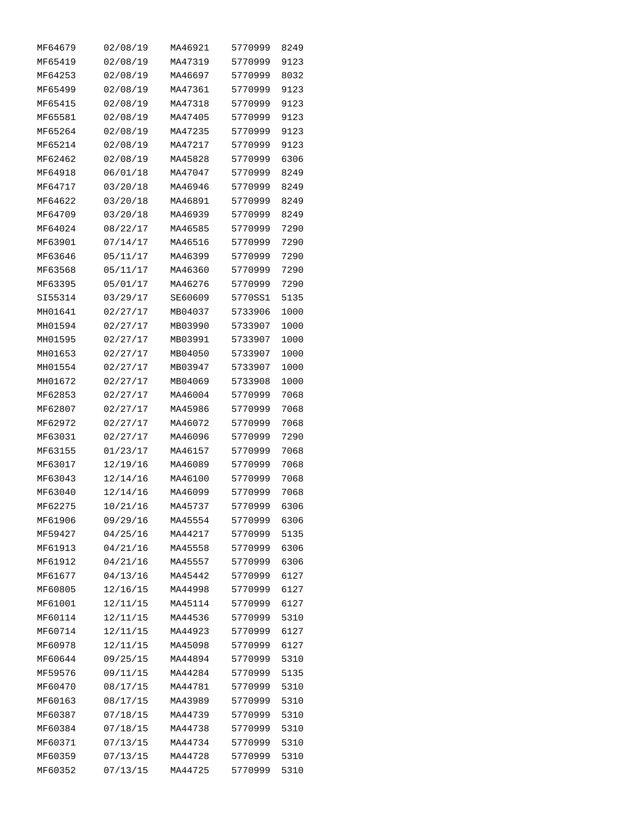| MF64679 | 02/08/19 | MA46921 | 5770999 | 8249 |
|---------|----------|---------|---------|------|
| MF65419 | 02/08/19 | MA47319 | 5770999 | 9123 |
| MF64253 | 02/08/19 | MA46697 | 5770999 | 8032 |
| MF65499 | 02/08/19 | MA47361 | 5770999 | 9123 |
| MF65415 | 02/08/19 | MA47318 | 5770999 | 9123 |
| MF65581 | 02/08/19 | MA47405 | 5770999 | 9123 |
| MF65264 | 02/08/19 | MA47235 | 5770999 | 9123 |
| MF65214 | 02/08/19 | MA47217 | 5770999 | 9123 |
| MF62462 | 02/08/19 | MA45828 | 5770999 | 6306 |
| MF64918 | 06/01/18 | MA47047 | 5770999 | 8249 |
| MF64717 | 03/20/18 | MA46946 | 5770999 | 8249 |
| MF64622 | 03/20/18 | MA46891 | 5770999 | 8249 |
| MF64709 | 03/20/18 | MA46939 | 5770999 | 8249 |
| MF64024 | 08/22/17 | MA46585 | 5770999 | 7290 |
| MF63901 | 07/14/17 | MA46516 | 5770999 | 7290 |
| MF63646 | 05/11/17 | MA46399 | 5770999 | 7290 |
| MF63568 | 05/11/17 | MA46360 | 5770999 | 7290 |
| MF63395 | 05/01/17 | MA46276 | 5770999 | 7290 |
| SI55314 | 03/29/17 | SE60609 | 5770SS1 | 5135 |
| MH01641 | 02/27/17 | MB04037 | 5733906 | 1000 |
| MH01594 | 02/27/17 | MB03990 | 5733907 | 1000 |
| MH01595 | 02/27/17 | MB03991 | 5733907 | 1000 |
| MH01653 | 02/27/17 | MB04050 | 5733907 | 1000 |
| MH01554 | 02/27/17 | MB03947 | 5733907 | 1000 |
| MH01672 | 02/27/17 | MB04069 | 5733908 | 1000 |
| MF62853 | 02/27/17 | MA46004 | 5770999 | 7068 |
| MF62807 | 02/27/17 | MA45986 | 5770999 | 7068 |
| MF62972 | 02/27/17 | MA46072 | 5770999 | 7068 |
| MF63031 | 02/27/17 | MA46096 | 5770999 | 7290 |
| MF63155 | 01/23/17 | MA46157 | 5770999 | 7068 |
| MF63017 | 12/19/16 | MA46089 | 5770999 | 7068 |
| MF63043 | 12/14/16 | MA46100 | 5770999 | 7068 |
| MF63040 | 12/14/16 | MA46099 | 5770999 | 7068 |
| MF62275 | 10/21/16 | MA45737 | 5770999 | 6306 |
| MF61906 | 09/29/16 | MA45554 | 5770999 | 6306 |
| MF59427 | 04/25/16 | MA44217 | 5770999 | 5135 |
| MF61913 | 04/21/16 | MA45558 | 5770999 | 6306 |
| MF61912 | 04/21/16 | MA45557 | 5770999 | 6306 |
| MF61677 | 04/13/16 | MA45442 | 5770999 | 6127 |
| MF60805 | 12/16/15 | MA44998 | 5770999 | 6127 |
| MF61001 | 12/11/15 | MA45114 | 5770999 | 6127 |
| MF60114 | 12/11/15 | MA44536 | 5770999 | 5310 |
| MF60714 | 12/11/15 | MA44923 | 5770999 | 6127 |
| MF60978 | 12/11/15 | MA45098 | 5770999 | 6127 |
| MF60644 | 09/25/15 | MA44894 | 5770999 | 5310 |
| MF59576 | 09/11/15 | MA44284 | 5770999 | 5135 |
| MF60470 | 08/17/15 | MA44781 | 5770999 | 5310 |
| MF60163 | 08/17/15 | MA43989 | 5770999 | 5310 |
| MF60387 | 07/18/15 | MA44739 | 5770999 | 5310 |
| MF60384 | 07/18/15 | MA44738 | 5770999 | 5310 |
| MF60371 | 07/13/15 | MA44734 | 5770999 | 5310 |
| MF60359 | 07/13/15 | MA44728 | 5770999 | 5310 |
| MF60352 | 07/13/15 | MA44725 | 5770999 | 5310 |
|         |          |         |         |      |